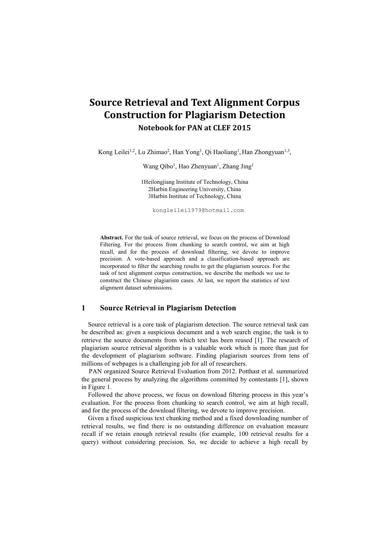# **Source Retrieval and Text Alignment Corpus Construction for Plagiarism Detection Notebook for PAN at CLEF 2015**

Kong Leilei<sup>1,2</sup>, Lu Zhimao<sup>2</sup>, Han Yong<sup>1</sup>, Qi Haoliang<sup>1</sup>, Han Zhongyuan<sup>1,3</sup>, ,

Wang Qibo<sup>1</sup>, Hao Zhenyuan<sup>1</sup>, Zhang Jing<sup>1</sup>

1Heilongjiang Institute of Technology, China 2Harbin Engineering University, China 3Harbin Institute of Technology, China

kongleilei1979@hotmail.com

Abstract. For the task of source retrieval, we focus on the process of Download Filtering. For the process from chunking to search control, we aim at high recall, and for the process of download filtering, we devote to improve precision. A vote-based approach and aclassification-based approach are incorporated to filter the searching results to get the plagiarism sources. For the task of text alignment corpus construction, we describe the methods we use to construct the Chinese plagiarism cases. At last, we report the statistics of text alignment dataset submissions.

## **1 Source Retrieval in Plagiarism Detection**

Source retrieval is a core task of plagiarism detection. The source retrieval task can be described as: given a suspicious document and a web search engine, the task is to retrieve the source documents from which text has been reused [1]. The research of plagiarism source retrieval algorithm is a valuable work which is more than just for the development of plagiarism software. Finding plagiarism sources from tens of millions of webpages is a challenging job for all of researchers.

PAN organized Source Retrieval Evaluation from 2012. Potthast et al. summarized the general process by analyzing the algorithms committed by contestants [1], shown in Figure 1.

Followed the above process, we focus on download filtering process in this year's evaluation. For the process from chunking to search control, we aim at high recall, and for the process of the download filtering, we devote to improve precision.

Given a fixed suspicious text chunking method and a fixed downloading number of retrieval results, we find there is no outstanding difference on evaluation measure recall if we retain enough retrieval results (for example, 100 retrieval results for a query) without considering precision. So, we decide to achieve a high recall by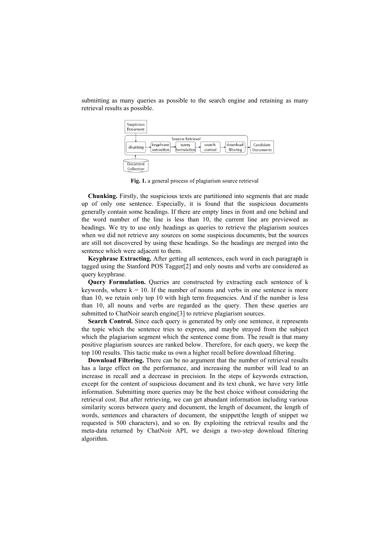

submitting as many queries as possible to the search engine and retaining as many retrieval results as possible.

Fig. 1. a general process of plagiarism source retrieval

**Chunking.** Firstly, the suspicious texts are partitioned into segments that are made up of only one sentence. Especially, it is found that the suspicious documents generally contain some headings. If there are empty lines in front and one behind and the word number of the line is less than 10, the current line are previewed as headings. We try to use only headings as queries to retrieve the plagiarism sources when we did not retrieve any sources on some suspicious documents, but the sources are still not discovered by using these headings. So the headings are merged into the sentence which were adjacent to them.

**Keyphrase Extracting.** After getting all sentences, each word in each paragraph is tagged using the Stanford POS Tagger[2] and only nouns and verbs are considered as query keyphrase.

**Query Formulation.** Queries are constructed by extracting each sentence of k keywords, where  $k = 10$ . If the number of nouns and verbs in one sentence is more than 10, we retain only top 10 with high term frequencies. And if the number is less than 10, all nouns and verbs are regarded as the query. Then these queries are submitted to ChatNoir search engine[3] to retrieve plagiarism sources.

**Search Control.** Since each query is generated by only one sentence, it represents the topic which the sentence tries to express, and maybe strayed from the subject which the plagiarism segment which the sentence come from. The result is that many positive plagiarism sources are ranked below. Therefore, for each query, we keep the top 100 results. This tactic make us own a higher recall before download filtering.

**Download Filtering.** There can be no argument that the number of retrieval results has a large effect on the performance, and increasing the number will lead to an increase in recall and a decrease in precision. In the steps of keywords extraction, except for the content of suspicious document and its text chunk, we have very little information. Submitting more queries may be the best choice without considering the retrieval cost. But after retrieving, we can get abundant information including various similarity scores between query and document, the length of document, the length of words, sentences and characters of document, the snippet(the length of snippet we requested is 500 characters), and so on. By exploiting the retrieval results and the meta-data returned by ChatNoir API, we design a two-step download filtering algorithm.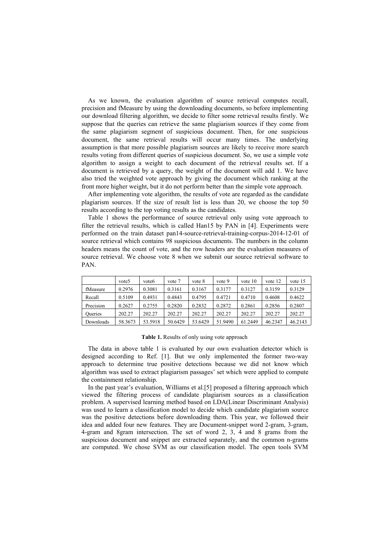As we known, the evaluation algorithm of source retrieval computes recall, precision and fMeasure by using the downloading documents, so before implementing our download filtering algorithm, we decide to filter some retrieval results firstly. We suppose that the queries can retrieve the same plagiarism sources if they come from the same plagiarism segment of suspicious document. Then, for one suspicious document, the same retrieval results will occur many times. The underlying assumption is that more possible plagiarism sources are likely to receive more search results voting from different queries of suspicious document. So, we use a simple vote algorithm to assign a weight to each document of the retrieval results set. If a document is retrieved by a query, the weight of the document will add 1. We have also tried the weighted vote approach by giving the document which ranking at the front more higher weight, but it do not perform better than the simple vote approach.

After implementing vote algorithm, the results of vote are regarded as the candidate plagiarism sources. If the size of result list is less than 20, we choose the top 50 results according to the top voting results as the candidates.

Table 1 shows the performance of source retrieval only using vote approach to filter the retrieval results, which is called Han15 by PAN in [4]. Experiments were performed on the train dataset pan14-source-retrieval-training-corpus-2014-12-01 of source retrieval which contains 98 suspicious documents. The numbers in the column headers means the count of vote, and the row headers are the evaluation measures of source retrieval. We choose vote 8 when we submit our source retrieval software to PAN.

|                | vote5   | vote <sub>6</sub> | vote 7  | vote 8  | vote 9  | vote $10$ | vote 12 | vote $15$ |
|----------------|---------|-------------------|---------|---------|---------|-----------|---------|-----------|
| fMeasure       | 0.2976  | 0.3081            | 0.3161  | 0.3167  | 0.3177  | 0.3127    | 0.3159  | 0.3129    |
| Recall         | 0.5109  | 0.4931            | 0.4843  | 0.4795  | 0.4721  | 0.4710    | 0.4608  | 0.4622    |
|                |         |                   |         |         |         |           |         |           |
| Precision      | 0.2627  | 0.2755            | 0.2820  | 0.2832  | 0.2872  | 0.2861    | 0.2856  | 0.2807    |
| <b>Oueries</b> | 202.27  | 202.27            | 202.27  | 202.27  | 202.27  | 202.27    | 202.27  | 202.27    |
| Downloads      | 58.3673 | 53.5918           | 50.6429 | 53.6429 | 51.9490 | 61.2449   | 46.2347 | 46.2143   |

#### **Table 1.** Results of only using vote approach

The data in above table 1 is evaluated by our own evaluation detector which is designed according to Ref. [1]. But we only implemented the former two-way approach to determine true positive detections because we did not know which algorithm was used to extract plagiarism passages' set which were applied to compute the containment relationship.

In the past year's evaluation, Williams et al.[5] proposed a filtering approach which viewed the filtering process of candidate plagiarism sources as a classification problem. A supervised learning method based on LDA(Linear Discriminant Analysis) was used to learn a classification model to decide which candidate plagiarism source was the positive detections before downloading them. This year, we followed their idea and added four new features. They are Document-snippet word 2-gram, 3-gram, 4-gram and 8gram intersection. The set of word 2, 3, 4 and 8 grams from the suspicious document and snippet are extracted separately, and the common n-grams are computed. We chose SVM as our classification model.The open tools SVM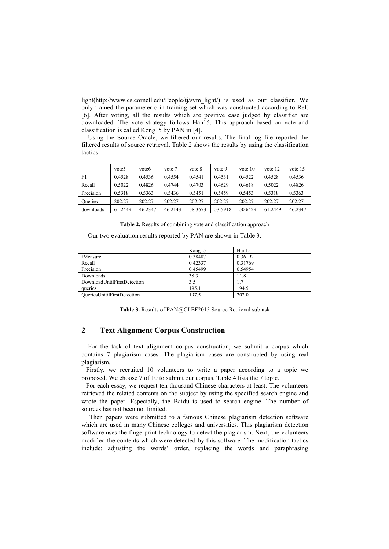light(http://www.cs.cornell.edu/People/tj/svm\_light/) is used as our classifier. We only trained the parameter c in training set which was constructed according to Ref. [6]. After voting, all the results which are positive case judged by classifier are downloaded. The vote strategy follows Han15. This approach based on vote and classification is called Kong15 by PAN in [4].

Using the Source Oracle, we filtered our results. The final log file reported the filtered results of source retrieval. Table 2 shows the results by using the classification tactics.

|                | vote5   | vote6   | vote 7  | vote 8  | vote 9  | vote $10$ | vote 12 | vote 15 |
|----------------|---------|---------|---------|---------|---------|-----------|---------|---------|
| F1             | 0.4528  | 0.4536  | 0.4554  | 0.4541  | 0.4531  | 0.4522    | 0.4528  | 0.4536  |
| Recall         | 0.5022  | 0.4826  | 0.4744  | 0.4703  | 0.4629  | 0.4618    | 0.5022  | 0.4826  |
| Precision      | 0.5318  | 0.5363  | 0.5436  | 0.5451  | 0.5459  | 0.5453    | 0.5318  | 0.5363  |
| <b>Oueries</b> | 202.27  | 202.27  | 202.27  | 202.27  | 202.27  | 202.27    | 202.27  | 202.27  |
| downloads      | 61.2449 | 46.2347 | 46.2143 | 58.3673 | 53.5918 | 50.6429   | 61.2449 | 46.2347 |

**Table 2.** Results of combining vote and classification approach

Our two evaluation results reported by PAN are shown in Table 3.

|                                    | Kong15  | Han15   |
|------------------------------------|---------|---------|
| fMeasure                           | 0.38487 | 0.36192 |
| Recall                             | 0.42337 | 0.31769 |
| Precision                          | 0.45499 | 0.54954 |
| Downloads                          | 38.3    | 11.8    |
| DownloadUntilFirstDetection        | 3.5     | 1.7     |
| queries                            | 195.1   | 194.5   |
| <b>OueriesUnitilFirstDetection</b> | 197.5   | 202.0   |

**Table 3.** Results of PAN@CLEF2015 Source Retrieval subtask

# **2 Text Alignment Corpus Construction**

For the task of text alignment corpus construction, we submit a corpus which contains 7 plagiarism cases. The plagiarism cases are constructed by using real plagiarism.

Firstly, we recruited 10 volunteers to write a paper according to a topic we proposed. We choose 7 of 10 to submit our corpus. Table 4 lists the 7 topic.

For each essay, we request ten thousand Chinese characters at least. The volunteers retrieved the related contents on the subject by using the specified search engine and wrote the paper. Especially, the Baidu is used to search engine. The number of sources has not been not limited.

Then papers were submitted to a famous Chinese plagiarism detection software which are used in many Chinese colleges and universities. This plagiarism detection software uses the fingerprint technology to detect the plagiarism. Next, the volunteers modified the contents which were detected by this software. The modification tactics include: adjusting the words' order, replacing the words and paraphrasing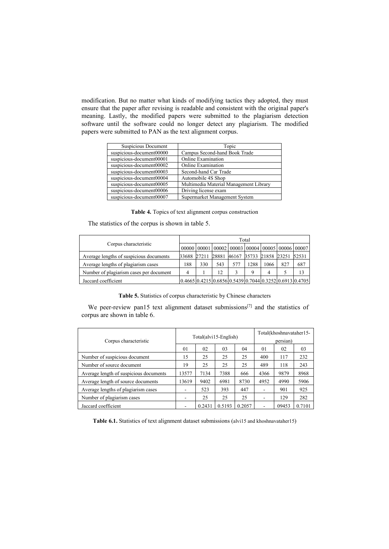modification. But no matter what kinds of modifying tactics they adopted, they must ensure that the paper after revising is readable and consistent with the original paper's meaning. Lastly, the modified papers were submitted to the plagiarism detection software until the software could no longer detect any plagiarism. The modified papers were submitted to PAN as the text alignment corpus.

| Suspicious Document      | Topic                                  |
|--------------------------|----------------------------------------|
| suspicious-document00000 | Campus Second-hand Book Trade          |
| suspicious-document00001 | Online Examination                     |
| suspicious-document00002 | Online Examination                     |
| suspicious-document00003 | Second-hand Car Trade                  |
| suspicious-document00004 | Automobile 4S Shop                     |
| suspicious-document00005 | Multimedia Material Management Library |
| suspicious-document00006 | Driving license exam                   |
| suspicious-document00007 | Supermarket Management System          |

Table 4. Topics of text alignment corpus construction

The statistics of the corpus is shown in table 5.

|                                         |                                                 | Total |     |     |      |      |     |                                                                                                   |  |  |  |
|-----------------------------------------|-------------------------------------------------|-------|-----|-----|------|------|-----|---------------------------------------------------------------------------------------------------|--|--|--|
| Corpus characteristic                   |                                                 |       |     |     |      |      |     | $00000$   00001   00002   00003   00004   00005   00006   00007                                   |  |  |  |
| Average lengths of suspicious documents | 33688 27211 28881 46167 35733 21858 23251 52531 |       |     |     |      |      |     |                                                                                                   |  |  |  |
| Average lengths of plagiarism cases     | 188                                             | 330   | 543 | 577 | 1288 | 1066 | 827 | 687                                                                                               |  |  |  |
| Number of plagiarism cases per document |                                                 |       | 12  |     |      |      |     |                                                                                                   |  |  |  |
| Jaccard coefficient                     |                                                 |       |     |     |      |      |     | $0.4665 \mid 0.4215 \mid 0.6856 \mid 0.5439 \mid 0.7044 \mid 0.3252 \mid 0.6913 \mid 0.4705 \mid$ |  |  |  |

Table 5. Statistics of corpus characteristic by Chinese characters

We peer-review pan15 text alignment dataset submissions<sup>[7]</sup> and the statistics of corpus are shown in table 6.

| Corpus characteristic                  |                          |        | Total(alvi15-English) | Total(khoshnavataher15-<br>persian) |                          |       |        |
|----------------------------------------|--------------------------|--------|-----------------------|-------------------------------------|--------------------------|-------|--------|
|                                        | 01                       | 02     | 03                    | 04                                  | 01                       | 02    | 03     |
| Number of suspicious document          | 15                       | 25     | 25                    | 25                                  | 400                      | 117   | 232    |
| Number of source document              | 19                       | 25     | 25                    | 25                                  | 489                      | 118   | 243    |
| Average length of suspicious documents | 13577                    | 7134   | 7388                  | 666                                 | 4366                     | 9879  | 8968   |
| Average length of source documents     | 13619                    | 9402   | 6981                  | 8730                                | 4952                     | 4990  | 5906   |
| Average lengths of plagiarism cases    |                          | 523    | 393                   | 447                                 | $\overline{\phantom{a}}$ | 901   | 925    |
| Number of plagiarism cases             | $\overline{\phantom{a}}$ | 25     | 25                    | 25                                  | ۰                        | 129   | 282    |
| Jaccard coefficient                    |                          | 0.2431 | 0.5193                | 0.2057                              | $\overline{\phantom{a}}$ | 09453 | 0.7101 |

**Table 6.1.** Statistics of text alignment dataset submissions (alvi15 and khoshnavataher15)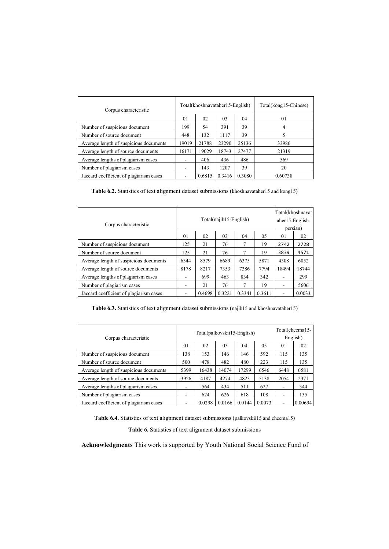| Corpus characteristic                   |                          |        | Total(khoshnavataher15-English) |        | Total(kong15-Chinese) |
|-----------------------------------------|--------------------------|--------|---------------------------------|--------|-----------------------|
|                                         | 01                       | 02     | 03                              | 04     | 01                    |
| Number of suspicious document           | 199                      | 54     | 391                             | 39     | 4                     |
| Number of source document               | 448                      | 132    | 1117                            | 39     | 5                     |
| Average length of suspicious documents  | 19019                    | 21788  | 23290                           | 25136  | 33986                 |
| Average length of source documents      | 16171                    | 19029  | 18743                           | 27477  | 21319                 |
| Average lengths of plagiarism cases     | $\overline{a}$           | 406    | 436                             | 486    | 569                   |
| Number of plagiarism cases              | $\overline{\phantom{a}}$ | 143    | 1207                            | 39     | 20                    |
| Jaccard coefficient of plagiarism cases | $\overline{\phantom{0}}$ | 0.6815 | 0.3416                          | 0.3080 | 0.60738               |

Table 6.2. Statistics of text alignment dataset submissions (khoshnavataher15 and kong15)

| Corpus characteristic                   |                | Total(najib15-English) | Total(khoshnavat)<br>aher15-English-<br>persian) |        |        |       |        |
|-----------------------------------------|----------------|------------------------|--------------------------------------------------|--------|--------|-------|--------|
|                                         | 01             | 02                     | 03                                               | 04     | 05     | 01    | 02     |
| Number of suspicious document           | 125            | 21                     | 76                                               | 7      | 19     | 2742  | 2728   |
| Number of source document               | 125            | 21                     | 76                                               |        | 19     | 3839  | 4571   |
| Average length of suspicious documents  | 6344           | 8579                   | 6689                                             | 6375   | 5871   | 4308  | 6052   |
| Average length of source documents      | 8178           | 8217                   | 7353                                             | 7386   | 7794   | 18494 | 18744  |
| Average lengths of plagiarism cases     | $\blacksquare$ | 699                    | 463                                              | 834    | 342    | ۰     | 299    |
| Number of plagiarism cases              | ٠              | 21                     | 76                                               | 7      | 19     | ۰     | 5606   |
| Jaccard coefficient of plagiarism cases | ۰              | 0.4698                 | 0.3221                                           | 0.3341 | 0.3611 | ۰     | 0.0033 |

Table **6.3.** Statistics of text alignment dataset submissions (najib15 and khoshnavataher15)

| Corpus characteristic                   |                          | Total(palkovskii15-English) | Total(cheema15-<br>English) |        |        |                          |         |
|-----------------------------------------|--------------------------|-----------------------------|-----------------------------|--------|--------|--------------------------|---------|
|                                         | 01                       | 02                          | 03                          | 04     | 05     | 01                       | 02      |
| Number of suspicious document           | 138                      | 153                         | 146                         | 146    | 592    | 115                      | 135     |
| Number of source document               | 500                      | 478                         | 482                         | 480    | 223    | 115                      | 135     |
| Average length of suspicious documents  | 5399                     | 16438                       | 14074                       | 17299  | 6546   | 6448                     | 6581    |
| Average length of source documents      | 3926                     | 4187                        | 4274                        | 4823   | 5138   | 2054                     | 2371    |
| Average lengths of plagiarism cases     | $\overline{\phantom{0}}$ | 564                         | 434                         | 511    | 627    | $\overline{\phantom{a}}$ | 344     |
| Number of plagiarism cases              | $\overline{\phantom{0}}$ | 624                         | 626                         | 618    | 108    | $\overline{\phantom{a}}$ | 135     |
| Jaccard coefficient of plagiarism cases | $\overline{\phantom{a}}$ | 0.0298                      | 0.0166                      | 0.0144 | 0.0073 | $\overline{\phantom{a}}$ | 0.00694 |

Table **6.4.** Statistics of text alignment dataset submissions (palkovskii15 and cheema15)

Table 6. Statistics of text alignment dataset submissions

**Acknowledgments** This work is supported by Youth National Social Science Fund of